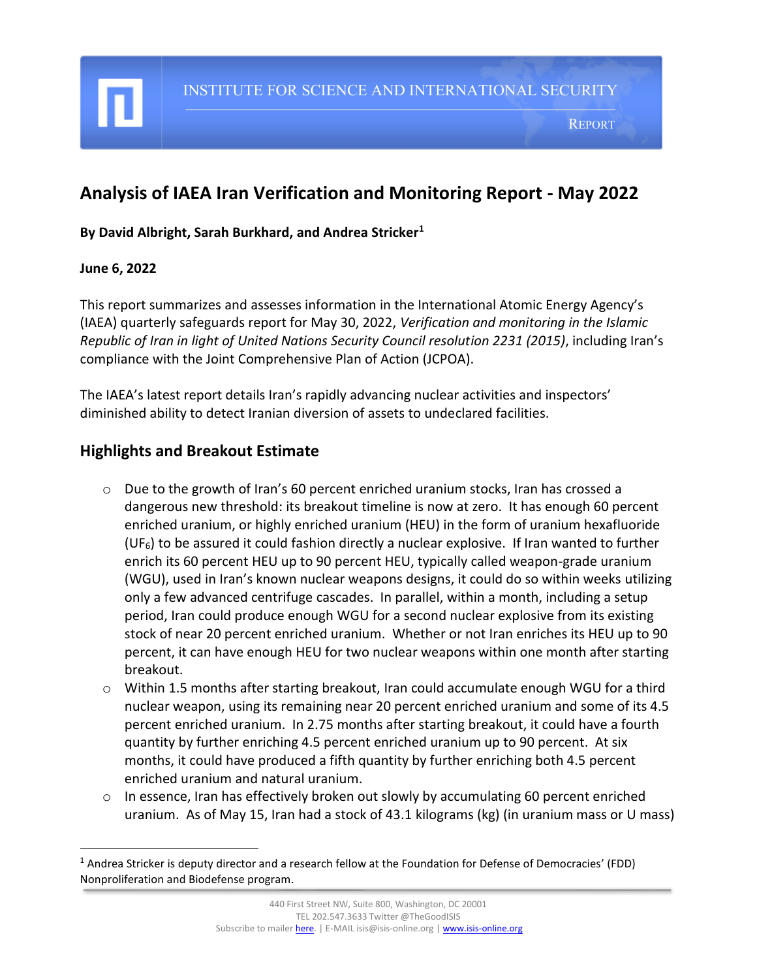INSTITUTE FOR SCIENCE AND INTERNATIONAL SECURITY

**REPORT** 

# **Analysis of IAEA Iran Verification and Monitoring Report - May 2022**

#### **By David Albright, Sarah Burkhard, and Andrea Stricker<sup>1</sup>**

#### **June 6, 2022**

I

i

This report summarizes and assesses information in the International Atomic Energy Agency's (IAEA) quarterly safeguards report for May 30, 2022, *Verification and monitoring in the Islamic Republic of Iran in light of United Nations Security Council resolution 2231 (2015)*, including Iran's compliance with the Joint Comprehensive Plan of Action (JCPOA).

The IAEA's latest report details Iran's rapidly advancing nuclear activities and inspectors' diminished ability to detect Iranian diversion of assets to undeclared facilities.

## **Highlights and Breakout Estimate**

- o Due to the growth of Iran's 60 percent enriched uranium stocks, Iran has crossed a dangerous new threshold: its breakout timeline is now at zero. It has enough 60 percent enriched uranium, or highly enriched uranium (HEU) in the form of uranium hexafluoride  $(UF<sub>6</sub>)$  to be assured it could fashion directly a nuclear explosive. If Iran wanted to further enrich its 60 percent HEU up to 90 percent HEU, typically called weapon-grade uranium (WGU), used in Iran's known nuclear weapons designs, it could do so within weeks utilizing only a few advanced centrifuge cascades. In parallel, within a month, including a setup period, Iran could produce enough WGU for a second nuclear explosive from its existing stock of near 20 percent enriched uranium. Whether or not Iran enriches its HEU up to 90 percent, it can have enough HEU for two nuclear weapons within one month after starting breakout.
- $\circ$  Within 1.5 months after starting breakout, Iran could accumulate enough WGU for a third nuclear weapon, using its remaining near 20 percent enriched uranium and some of its 4.5 percent enriched uranium. In 2.75 months after starting breakout, it could have a fourth quantity by further enriching 4.5 percent enriched uranium up to 90 percent. At six months, it could have produced a fifth quantity by further enriching both 4.5 percent enriched uranium and natural uranium.
- $\circ$  In essence, Iran has effectively broken out slowly by accumulating 60 percent enriched uranium. As of May 15, Iran had a stock of 43.1 kilograms (kg) (in uranium mass or U mass)

<sup>&</sup>lt;sup>1</sup> Andrea Stricker is deputy director and a research fellow at the Foundation for Defense of Democracies' (FDD) Nonproliferation and Biodefense program.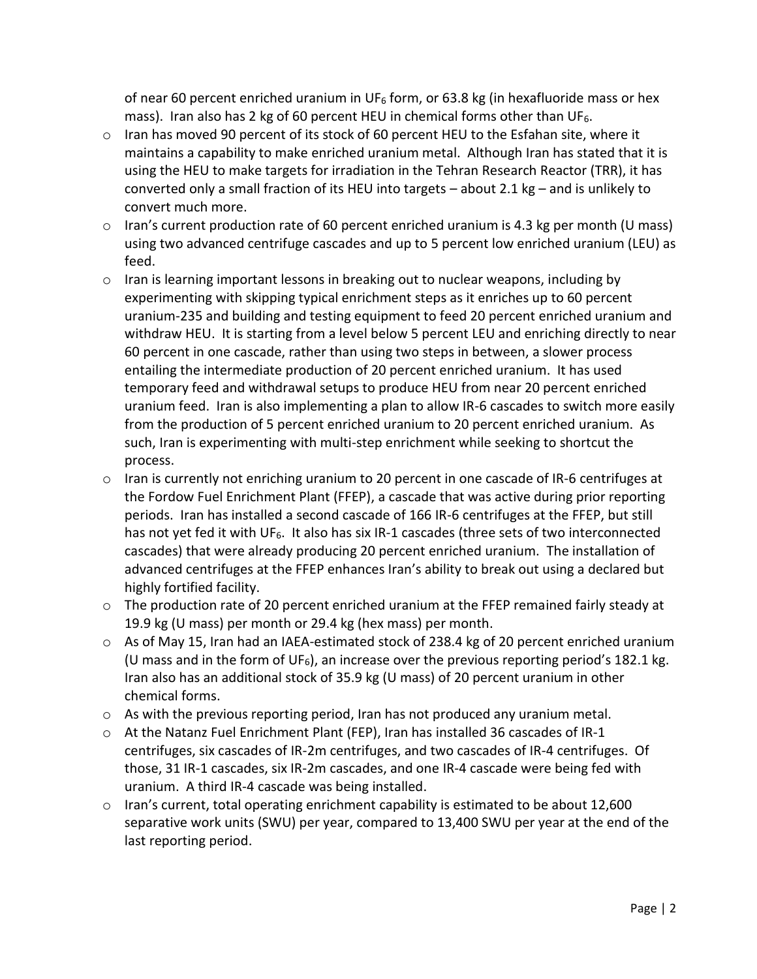of near 60 percent enriched uranium in UF<sub>6</sub> form, or 63.8 kg (in hexafluoride mass or hex mass). Iran also has 2 kg of 60 percent HEU in chemical forms other than UF<sub>6</sub>.

- $\circ$  Iran has moved 90 percent of its stock of 60 percent HEU to the Esfahan site, where it maintains a capability to make enriched uranium metal. Although Iran has stated that it is using the HEU to make targets for irradiation in the Tehran Research Reactor (TRR), it has converted only a small fraction of its HEU into targets – about 2.1 kg – and is unlikely to convert much more.
- $\circ$  Iran's current production rate of 60 percent enriched uranium is 4.3 kg per month (U mass) using two advanced centrifuge cascades and up to 5 percent low enriched uranium (LEU) as feed.
- $\circ$  Iran is learning important lessons in breaking out to nuclear weapons, including by experimenting with skipping typical enrichment steps as it enriches up to 60 percent uranium-235 and building and testing equipment to feed 20 percent enriched uranium and withdraw HEU. It is starting from a level below 5 percent LEU and enriching directly to near 60 percent in one cascade, rather than using two steps in between, a slower process entailing the intermediate production of 20 percent enriched uranium. It has used temporary feed and withdrawal setups to produce HEU from near 20 percent enriched uranium feed. Iran is also implementing a plan to allow IR-6 cascades to switch more easily from the production of 5 percent enriched uranium to 20 percent enriched uranium. As such, Iran is experimenting with multi-step enrichment while seeking to shortcut the process.
- $\circ$  Iran is currently not enriching uranium to 20 percent in one cascade of IR-6 centrifuges at the Fordow Fuel Enrichment Plant (FFEP), a cascade that was active during prior reporting periods. Iran has installed a second cascade of 166 IR-6 centrifuges at the FFEP, but still has not yet fed it with UF<sub>6</sub>. It also has six IR-1 cascades (three sets of two interconnected cascades) that were already producing 20 percent enriched uranium. The installation of advanced centrifuges at the FFEP enhances Iran's ability to break out using a declared but highly fortified facility.
- $\circ$  The production rate of 20 percent enriched uranium at the FFEP remained fairly steady at 19.9 kg (U mass) per month or 29.4 kg (hex mass) per month.
- $\circ$  As of May 15, Iran had an IAEA-estimated stock of 238.4 kg of 20 percent enriched uranium (U mass and in the form of UF<sub>6</sub>), an increase over the previous reporting period's 182.1 kg. Iran also has an additional stock of 35.9 kg (U mass) of 20 percent uranium in other chemical forms.
- $\circ$  As with the previous reporting period, Iran has not produced any uranium metal.
- o At the Natanz Fuel Enrichment Plant (FEP), Iran has installed 36 cascades of IR-1 centrifuges, six cascades of IR-2m centrifuges, and two cascades of IR-4 centrifuges. Of those, 31 IR-1 cascades, six IR-2m cascades, and one IR-4 cascade were being fed with uranium. A third IR-4 cascade was being installed.
- $\circ$  Iran's current, total operating enrichment capability is estimated to be about 12,600 separative work units (SWU) per year, compared to 13,400 SWU per year at the end of the last reporting period.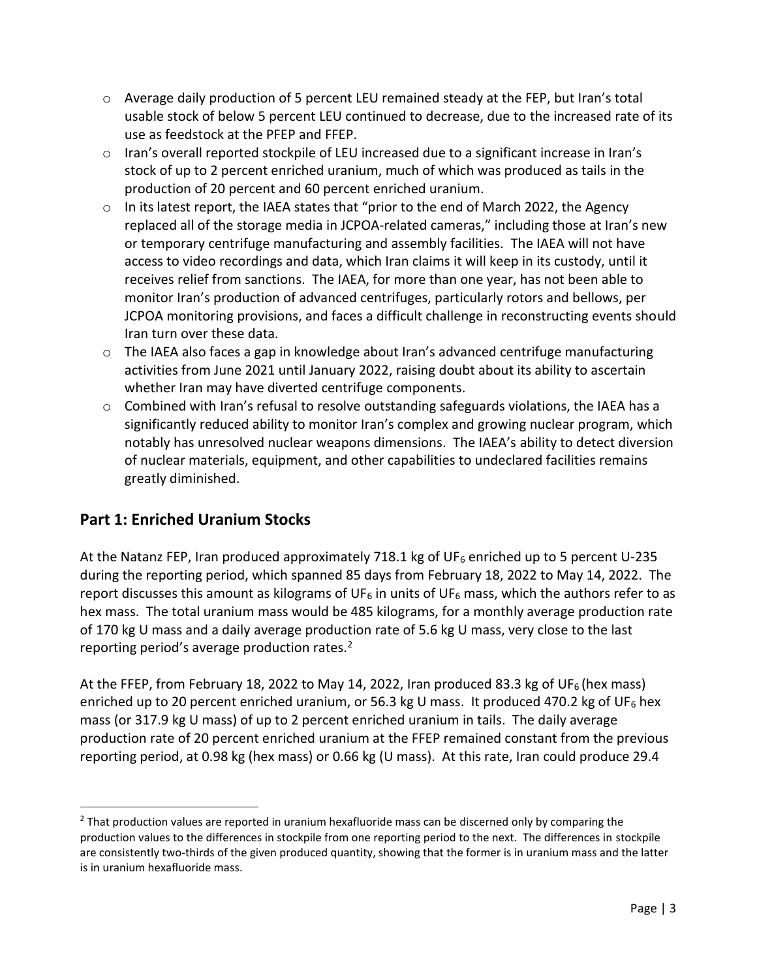- o Average daily production of 5 percent LEU remained steady at the FEP, but Iran's total usable stock of below 5 percent LEU continued to decrease, due to the increased rate of its use as feedstock at the PFEP and FFEP.
- o Iran's overall reported stockpile of LEU increased due to a significant increase in Iran's stock of up to 2 percent enriched uranium, much of which was produced as tails in the production of 20 percent and 60 percent enriched uranium.
- $\circ$  In its latest report, the IAEA states that "prior to the end of March 2022, the Agency replaced all of the storage media in JCPOA-related cameras," including those at Iran's new or temporary centrifuge manufacturing and assembly facilities. The IAEA will not have access to video recordings and data, which Iran claims it will keep in its custody, until it receives relief from sanctions. The IAEA, for more than one year, has not been able to monitor Iran's production of advanced centrifuges, particularly rotors and bellows, per JCPOA monitoring provisions, and faces a difficult challenge in reconstructing events should Iran turn over these data.
- o The IAEA also faces a gap in knowledge about Iran's advanced centrifuge manufacturing activities from June 2021 until January 2022, raising doubt about its ability to ascertain whether Iran may have diverted centrifuge components.
- $\circ$  Combined with Iran's refusal to resolve outstanding safeguards violations, the IAEA has a significantly reduced ability to monitor Iran's complex and growing nuclear program, which notably has unresolved nuclear weapons dimensions. The IAEA's ability to detect diversion of nuclear materials, equipment, and other capabilities to undeclared facilities remains greatly diminished.

## **Part 1: Enriched Uranium Stocks**

At the Natanz FEP, Iran produced approximately 718.1 kg of UF<sub>6</sub> enriched up to 5 percent U-235 during the reporting period, which spanned 85 days from February 18, 2022 to May 14, 2022. The report discusses this amount as kilograms of  $UF_6$  in units of UF<sub>6</sub> mass, which the authors refer to as hex mass. The total uranium mass would be 485 kilograms, for a monthly average production rate of 170 kg U mass and a daily average production rate of 5.6 kg U mass, very close to the last reporting period's average production rates. $2$ 

At the FFEP, from February 18, 2022 to May 14, 2022, Iran produced 83.3 kg of UF<sub>6</sub> (hex mass) enriched up to 20 percent enriched uranium, or 56.3 kg U mass. It produced 470.2 kg of UF<sub>6</sub> hex mass (or 317.9 kg U mass) of up to 2 percent enriched uranium in tails. The daily average production rate of 20 percent enriched uranium at the FFEP remained constant from the previous reporting period, at 0.98 kg (hex mass) or 0.66 kg (U mass). At this rate, Iran could produce 29.4

 $2$  That production values are reported in uranium hexafluoride mass can be discerned only by comparing the production values to the differences in stockpile from one reporting period to the next. The differences in stockpile are consistently two-thirds of the given produced quantity, showing that the former is in uranium mass and the latter is in uranium hexafluoride mass.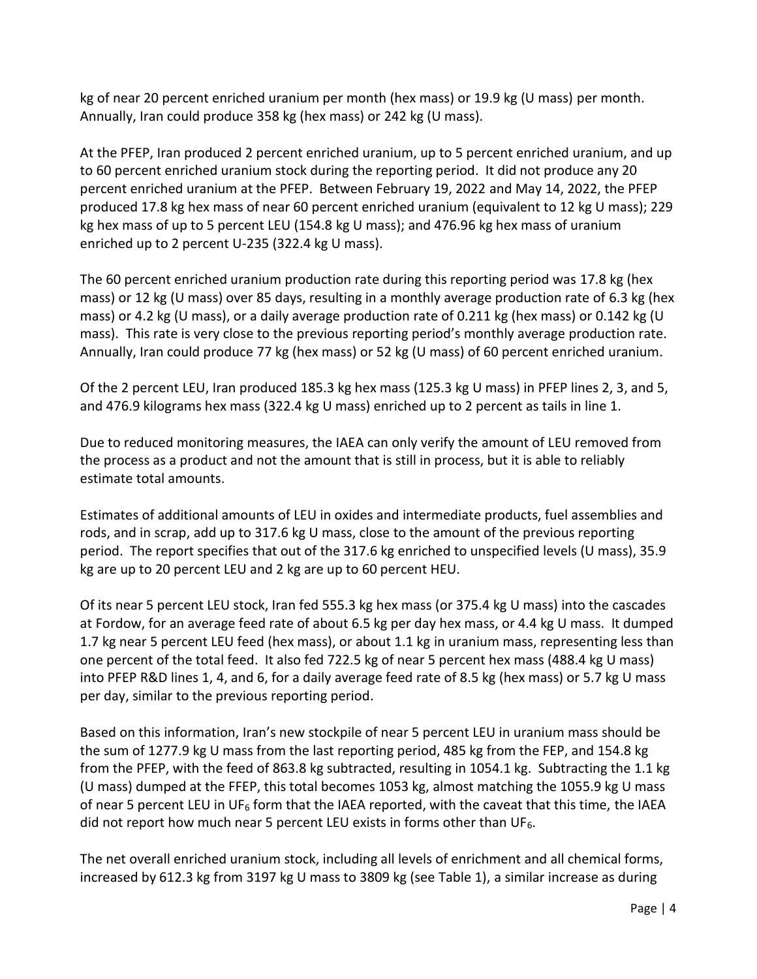kg of near 20 percent enriched uranium per month (hex mass) or 19.9 kg (U mass) per month. Annually, Iran could produce 358 kg (hex mass) or 242 kg (U mass).

At the PFEP, Iran produced 2 percent enriched uranium, up to 5 percent enriched uranium, and up to 60 percent enriched uranium stock during the reporting period. It did not produce any 20 percent enriched uranium at the PFEP. Between February 19, 2022 and May 14, 2022, the PFEP produced 17.8 kg hex mass of near 60 percent enriched uranium (equivalent to 12 kg U mass); 229 kg hex mass of up to 5 percent LEU (154.8 kg U mass); and 476.96 kg hex mass of uranium enriched up to 2 percent U-235 (322.4 kg U mass).

The 60 percent enriched uranium production rate during this reporting period was 17.8 kg (hex mass) or 12 kg (U mass) over 85 days, resulting in a monthly average production rate of 6.3 kg (hex mass) or 4.2 kg (U mass), or a daily average production rate of 0.211 kg (hex mass) or 0.142 kg (U mass). This rate is very close to the previous reporting period's monthly average production rate. Annually, Iran could produce 77 kg (hex mass) or 52 kg (U mass) of 60 percent enriched uranium.

Of the 2 percent LEU, Iran produced 185.3 kg hex mass (125.3 kg U mass) in PFEP lines 2, 3, and 5, and 476.9 kilograms hex mass (322.4 kg U mass) enriched up to 2 percent as tails in line 1.

Due to reduced monitoring measures, the IAEA can only verify the amount of LEU removed from the process as a product and not the amount that is still in process, but it is able to reliably estimate total amounts.

Estimates of additional amounts of LEU in oxides and intermediate products, fuel assemblies and rods, and in scrap, add up to 317.6 kg U mass, close to the amount of the previous reporting period. The report specifies that out of the 317.6 kg enriched to unspecified levels (U mass), 35.9 kg are up to 20 percent LEU and 2 kg are up to 60 percent HEU.

Of its near 5 percent LEU stock, Iran fed 555.3 kg hex mass (or 375.4 kg U mass) into the cascades at Fordow, for an average feed rate of about 6.5 kg per day hex mass, or 4.4 kg U mass. It dumped 1.7 kg near 5 percent LEU feed (hex mass), or about 1.1 kg in uranium mass, representing less than one percent of the total feed. It also fed 722.5 kg of near 5 percent hex mass (488.4 kg U mass) into PFEP R&D lines 1, 4, and 6, for a daily average feed rate of 8.5 kg (hex mass) or 5.7 kg U mass per day, similar to the previous reporting period.

Based on this information, Iran's new stockpile of near 5 percent LEU in uranium mass should be the sum of 1277.9 kg U mass from the last reporting period, 485 kg from the FEP, and 154.8 kg from the PFEP, with the feed of 863.8 kg subtracted, resulting in 1054.1 kg. Subtracting the 1.1 kg (U mass) dumped at the FFEP, this total becomes 1053 kg, almost matching the 1055.9 kg U mass of near 5 percent LEU in UF<sub>6</sub> form that the IAEA reported, with the caveat that this time, the IAEA did not report how much near 5 percent LEU exists in forms other than UF $_6$ .

The net overall enriched uranium stock, including all levels of enrichment and all chemical forms, increased by 612.3 kg from 3197 kg U mass to 3809 kg (see Table 1), a similar increase as during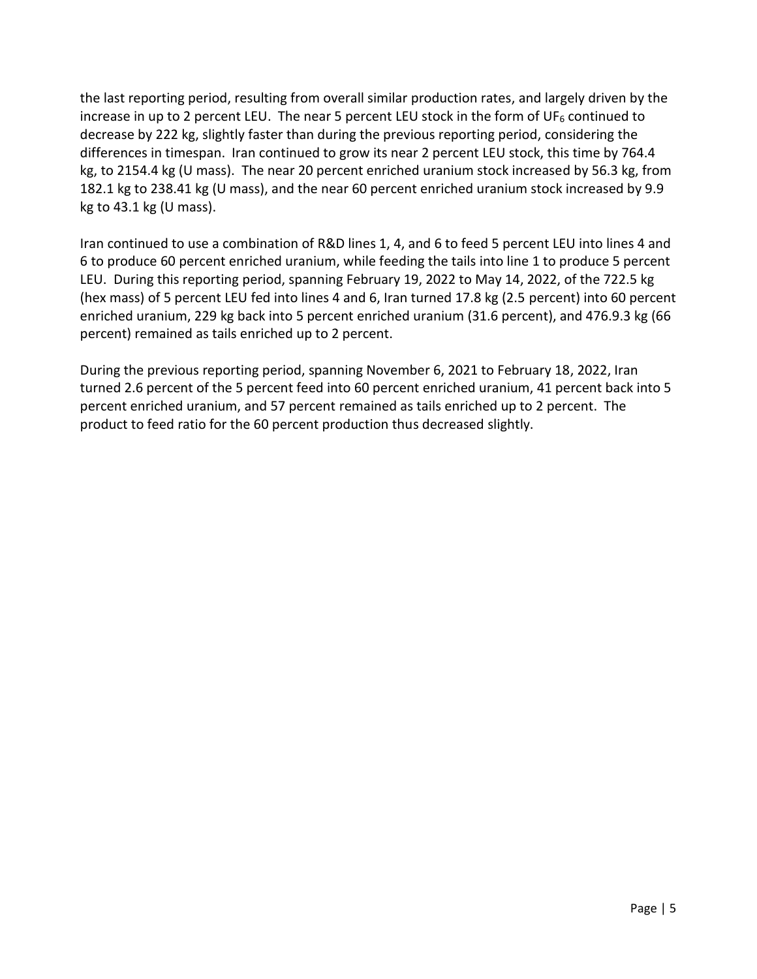the last reporting period, resulting from overall similar production rates, and largely driven by the increase in up to 2 percent LEU. The near 5 percent LEU stock in the form of UF<sub>6</sub> continued to decrease by 222 kg, slightly faster than during the previous reporting period, considering the differences in timespan. Iran continued to grow its near 2 percent LEU stock, this time by 764.4 kg, to 2154.4 kg (U mass). The near 20 percent enriched uranium stock increased by 56.3 kg, from 182.1 kg to 238.41 kg (U mass), and the near 60 percent enriched uranium stock increased by 9.9 kg to  $43.1$  kg (U mass).

Iran continued to use a combination of R&D lines 1, 4, and 6 to feed 5 percent LEU into lines 4 and 6 to produce 60 percent enriched uranium, while feeding the tails into line 1 to produce 5 percent LEU. During this reporting period, spanning February 19, 2022 to May 14, 2022, of the 722.5 kg (hex mass) of 5 percent LEU fed into lines 4 and 6, Iran turned 17.8 kg (2.5 percent) into 60 percent enriched uranium, 229 kg back into 5 percent enriched uranium (31.6 percent), and 476.9.3 kg (66 percent) remained as tails enriched up to 2 percent.

During the previous reporting period, spanning November 6, 2021 to February 18, 2022, Iran turned 2.6 percent of the 5 percent feed into 60 percent enriched uranium, 41 percent back into 5 percent enriched uranium, and 57 percent remained as tails enriched up to 2 percent. The product to feed ratio for the 60 percent production thus decreased slightly.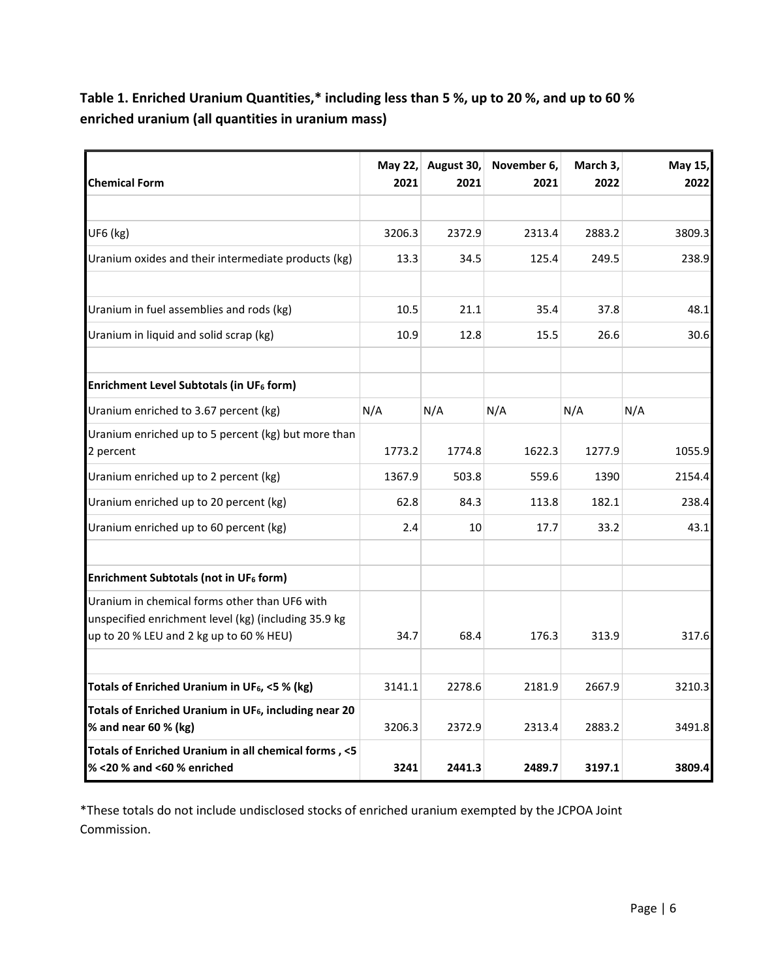**Table 1. Enriched Uranium Quantities,\* including less than 5 %, up to 20 %, and up to 60 % enriched uranium (all quantities in uranium mass)**

| <b>Chemical Form</b>                                                                                                                             | May 22,<br>2021 | August 30,<br>2021 | November 6,<br>2021 | March 3,<br>2022 | May 15,<br>2022 |
|--------------------------------------------------------------------------------------------------------------------------------------------------|-----------------|--------------------|---------------------|------------------|-----------------|
|                                                                                                                                                  |                 |                    |                     |                  |                 |
| UF6 (kg)                                                                                                                                         | 3206.3          | 2372.9             | 2313.4              | 2883.2           | 3809.3          |
| Uranium oxides and their intermediate products (kg)                                                                                              | 13.3            | 34.5               | 125.4               | 249.5            | 238.9           |
| Uranium in fuel assemblies and rods (kg)                                                                                                         | 10.5            | 21.1               | 35.4                | 37.8             | 48.1            |
| Uranium in liquid and solid scrap (kg)                                                                                                           | 10.9            | 12.8               | 15.5                | 26.6             | 30.6            |
| Enrichment Level Subtotals (in UF <sub>6</sub> form)                                                                                             |                 |                    |                     |                  |                 |
| Uranium enriched to 3.67 percent (kg)                                                                                                            | N/A             | N/A                | N/A                 | N/A              | N/A             |
| Uranium enriched up to 5 percent (kg) but more than<br>2 percent                                                                                 | 1773.2          | 1774.8             | 1622.3              | 1277.9           | 1055.9          |
| Uranium enriched up to 2 percent (kg)                                                                                                            | 1367.9          | 503.8              | 559.6               | 1390             | 2154.4          |
| Uranium enriched up to 20 percent (kg)                                                                                                           | 62.8            | 84.3               | 113.8               | 182.1            | 238.4           |
| Uranium enriched up to 60 percent (kg)                                                                                                           | 2.4             | 10                 | 17.7                | 33.2             | 43.1            |
| Enrichment Subtotals (not in UF6 form)                                                                                                           |                 |                    |                     |                  |                 |
| Uranium in chemical forms other than UF6 with<br>unspecified enrichment level (kg) (including 35.9 kg<br>up to 20 % LEU and 2 kg up to 60 % HEU) | 34.7            | 68.4               | 176.3               | 313.9            | 317.6           |
|                                                                                                                                                  |                 |                    |                     |                  |                 |
| Totals of Enriched Uranium in UF <sub>6</sub> , <5 % (kg)                                                                                        | 3141.1          | 2278.6             | 2181.9              | 2667.9           | 3210.3          |
| Totals of Enriched Uranium in UF <sub>6</sub> , including near 20<br>% and near 60 % (kg)                                                        | 3206.3          | 2372.9             | 2313.4              | 2883.2           | 3491.8          |
| Totals of Enriched Uranium in all chemical forms, <5<br>% < 20 % and < 60 % enriched                                                             | 3241            | 2441.3             | 2489.7              | 3197.1           | 3809.4          |

\*These totals do not include undisclosed stocks of enriched uranium exempted by the JCPOA Joint Commission.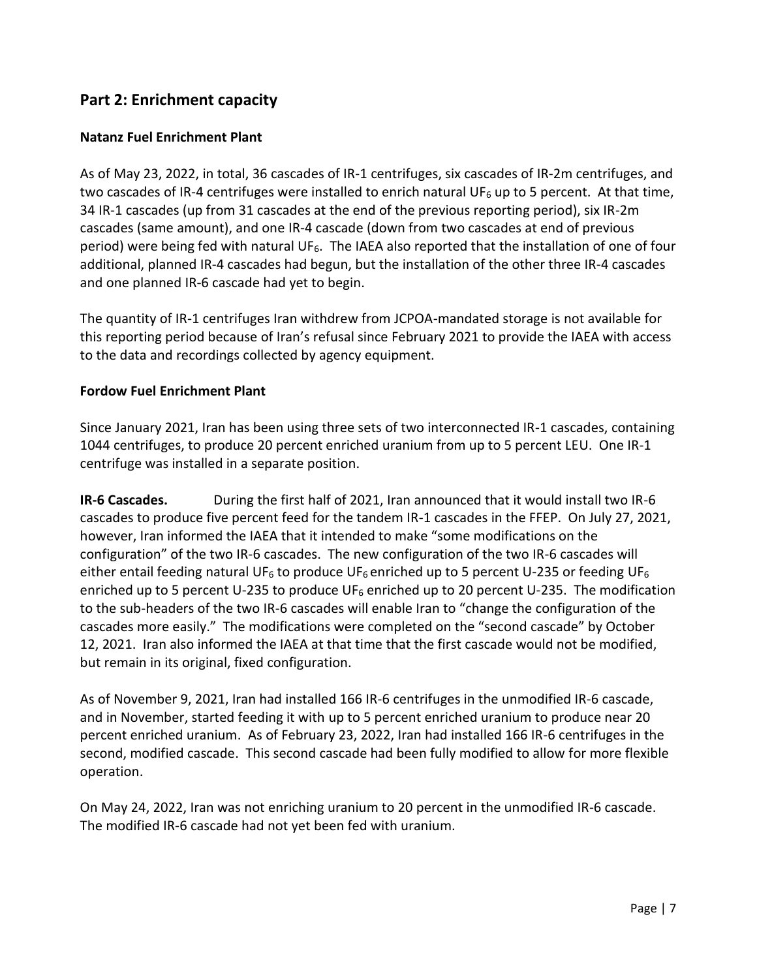## **Part 2: Enrichment capacity**

#### **Natanz Fuel Enrichment Plant**

As of May 23, 2022, in total, 36 cascades of IR-1 centrifuges, six cascades of IR-2m centrifuges, and two cascades of IR-4 centrifuges were installed to enrich natural UF $_6$  up to 5 percent. At that time, 34 IR-1 cascades (up from 31 cascades at the end of the previous reporting period), six IR-2m cascades (same amount), and one IR-4 cascade (down from two cascades at end of previous period) were being fed with natural UF<sub>6</sub>. The IAEA also reported that the installation of one of four additional, planned IR-4 cascades had begun, but the installation of the other three IR-4 cascades and one planned IR-6 cascade had yet to begin.

The quantity of IR-1 centrifuges Iran withdrew from JCPOA-mandated storage is not available for this reporting period because of Iran's refusal since February 2021 to provide the IAEA with access to the data and recordings collected by agency equipment.

#### **Fordow Fuel Enrichment Plant**

Since January 2021, Iran has been using three sets of two interconnected IR-1 cascades, containing 1044 centrifuges, to produce 20 percent enriched uranium from up to 5 percent LEU. One IR-1 centrifuge was installed in a separate position.

**IR-6 Cascades.** During the first half of 2021, Iran announced that it would install two IR-6 cascades to produce five percent feed for the tandem IR-1 cascades in the FFEP. On July 27, 2021, however, Iran informed the IAEA that it intended to make "some modifications on the configuration" of the two IR-6 cascades. The new configuration of the two IR-6 cascades will either entail feeding natural UF<sub>6</sub> to produce UF<sub>6</sub> enriched up to 5 percent U-235 or feeding UF<sub>6</sub> enriched up to 5 percent U-235 to produce UF<sub>6</sub> enriched up to 20 percent U-235. The modification to the sub-headers of the two IR-6 cascades will enable Iran to "change the configuration of the cascades more easily." The modifications were completed on the "second cascade" by October 12, 2021. Iran also informed the IAEA at that time that the first cascade would not be modified, but remain in its original, fixed configuration.

As of November 9, 2021, Iran had installed 166 IR-6 centrifuges in the unmodified IR-6 cascade, and in November, started feeding it with up to 5 percent enriched uranium to produce near 20 percent enriched uranium. As of February 23, 2022, Iran had installed 166 IR-6 centrifuges in the second, modified cascade. This second cascade had been fully modified to allow for more flexible operation.

On May 24, 2022, Iran was not enriching uranium to 20 percent in the unmodified IR-6 cascade. The modified IR-6 cascade had not yet been fed with uranium.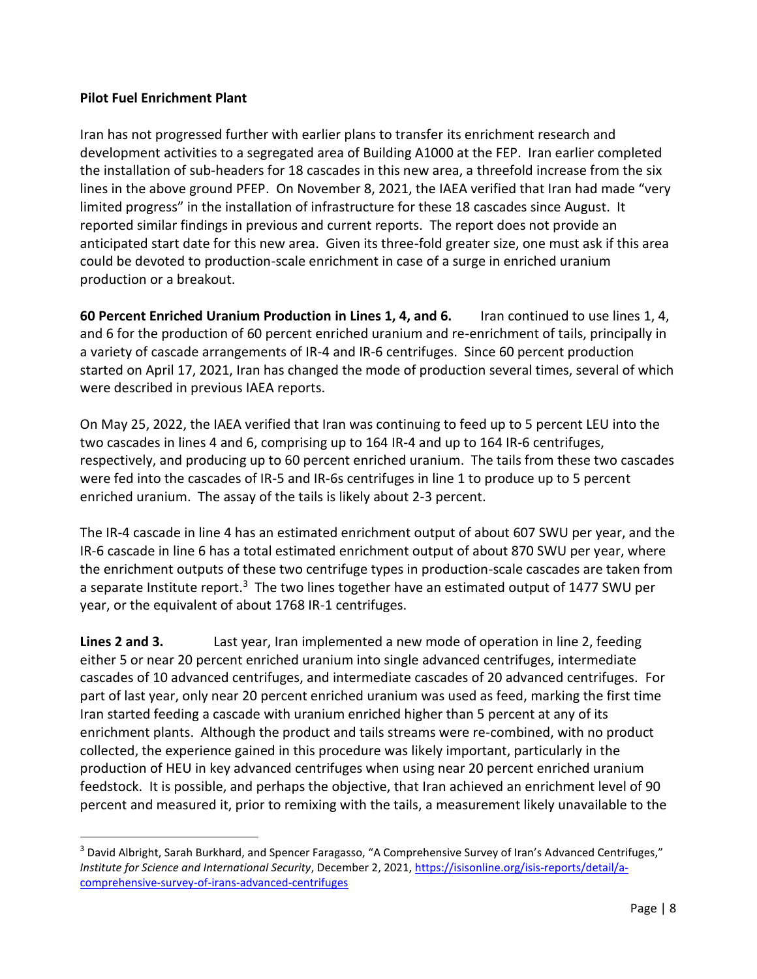#### **Pilot Fuel Enrichment Plant**

Iran has not progressed further with earlier plans to transfer its enrichment research and development activities to a segregated area of Building A1000 at the FEP. Iran earlier completed the installation of sub-headers for 18 cascades in this new area, a threefold increase from the six lines in the above ground PFEP. On November 8, 2021, the IAEA verified that Iran had made "very limited progress" in the installation of infrastructure for these 18 cascades since August. It reported similar findings in previous and current reports. The report does not provide an anticipated start date for this new area. Given its three-fold greater size, one must ask if this area could be devoted to production-scale enrichment in case of a surge in enriched uranium production or a breakout.

**60 Percent Enriched Uranium Production in Lines 1, 4, and 6.** Iran continued to use lines 1, 4, and 6 for the production of 60 percent enriched uranium and re-enrichment of tails, principally in a variety of cascade arrangements of IR-4 and IR-6 centrifuges. Since 60 percent production started on April 17, 2021, Iran has changed the mode of production several times, several of which were described in previous IAEA reports.

On May 25, 2022, the IAEA verified that Iran was continuing to feed up to 5 percent LEU into the two cascades in lines 4 and 6, comprising up to 164 IR-4 and up to 164 IR-6 centrifuges, respectively, and producing up to 60 percent enriched uranium. The tails from these two cascades were fed into the cascades of IR-5 and IR-6s centrifuges in line 1 to produce up to 5 percent enriched uranium. The assay of the tails is likely about 2-3 percent.

The IR-4 cascade in line 4 has an estimated enrichment output of about 607 SWU per year, and the IR-6 cascade in line 6 has a total estimated enrichment output of about 870 SWU per year, where the enrichment outputs of these two centrifuge types in production-scale cascades are taken from a separate Institute report.<sup>3</sup> The two lines together have an estimated output of 1477 SWU per year, or the equivalent of about 1768 IR-1 centrifuges.

**Lines 2 and 3.** Last year, Iran implemented a new mode of operation in line 2, feeding either 5 or near 20 percent enriched uranium into single advanced centrifuges, intermediate cascades of 10 advanced centrifuges, and intermediate cascades of 20 advanced centrifuges. For part of last year, only near 20 percent enriched uranium was used as feed, marking the first time Iran started feeding a cascade with uranium enriched higher than 5 percent at any of its enrichment plants. Although the product and tails streams were re-combined, with no product collected, the experience gained in this procedure was likely important, particularly in the production of HEU in key advanced centrifuges when using near 20 percent enriched uranium feedstock. It is possible, and perhaps the objective, that Iran achieved an enrichment level of 90 percent and measured it, prior to remixing with the tails, a measurement likely unavailable to the

<sup>&</sup>lt;sup>3</sup> David Albright, Sarah Burkhard, and Spencer Faragasso, "A Comprehensive Survey of Iran's Advanced Centrifuges," *Institute for Science and International Security*, December 2, 2021[, https://isisonline.org/isis-reports/detail/a](https://isisonline.org/isis-reports/detail/a-comprehensive-survey-of-irans-advanced-centrifuges)[comprehensive-survey-of-irans-advanced-centrifuges](https://isisonline.org/isis-reports/detail/a-comprehensive-survey-of-irans-advanced-centrifuges)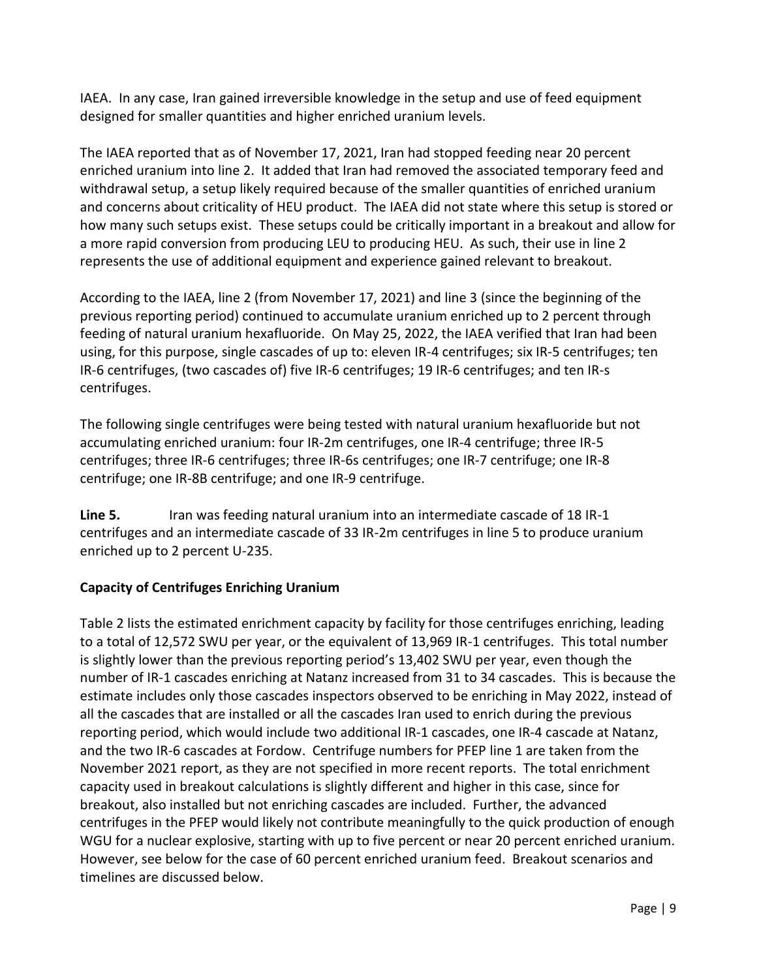IAEA. In any case, Iran gained irreversible knowledge in the setup and use of feed equipment designed for smaller quantities and higher enriched uranium levels.

The IAEA reported that as of November 17, 2021, Iran had stopped feeding near 20 percent enriched uranium into line 2. It added that Iran had removed the associated temporary feed and withdrawal setup, a setup likely required because of the smaller quantities of enriched uranium and concerns about criticality of HEU product. The IAEA did not state where this setup is stored or how many such setups exist. These setups could be critically important in a breakout and allow for a more rapid conversion from producing LEU to producing HEU. As such, their use in line 2 represents the use of additional equipment and experience gained relevant to breakout.

According to the IAEA, line 2 (from November 17, 2021) and line 3 (since the beginning of the previous reporting period) continued to accumulate uranium enriched up to 2 percent through feeding of natural uranium hexafluoride. On May 25, 2022, the IAEA verified that Iran had been using, for this purpose, single cascades of up to: eleven IR-4 centrifuges; six IR-5 centrifuges; ten IR-6 centrifuges, (two cascades of) five IR-6 centrifuges; 19 IR-6 centrifuges; and ten IR-s centrifuges.

The following single centrifuges were being tested with natural uranium hexafluoride but not accumulating enriched uranium: four IR-2m centrifuges, one IR-4 centrifuge; three IR-5 centrifuges; three IR-6 centrifuges; three IR-6s centrifuges; one IR-7 centrifuge; one IR-8 centrifuge; one IR-8B centrifuge; and one IR-9 centrifuge.

**Line 5.** Iran was feeding natural uranium into an intermediate cascade of 18 IR-1 centrifuges and an intermediate cascade of 33 IR-2m centrifuges in line 5 to produce uranium enriched up to 2 percent U-235.

## **Capacity of Centrifuges Enriching Uranium**

Table 2 lists the estimated enrichment capacity by facility for those centrifuges enriching, leading to a total of 12,572 SWU per year, or the equivalent of 13,969 IR-1 centrifuges. This total number is slightly lower than the previous reporting period's 13,402 SWU per year, even though the number of IR-1 cascades enriching at Natanz increased from 31 to 34 cascades. This is because the estimate includes only those cascades inspectors observed to be enriching in May 2022, instead of all the cascades that are installed or all the cascades Iran used to enrich during the previous reporting period, which would include two additional IR-1 cascades, one IR-4 cascade at Natanz, and the two IR-6 cascades at Fordow. Centrifuge numbers for PFEP line 1 are taken from the November 2021 report, as they are not specified in more recent reports. The total enrichment capacity used in breakout calculations is slightly different and higher in this case, since for breakout, also installed but not enriching cascades are included. Further, the advanced centrifuges in the PFEP would likely not contribute meaningfully to the quick production of enough WGU for a nuclear explosive, starting with up to five percent or near 20 percent enriched uranium. However, see below for the case of 60 percent enriched uranium feed. Breakout scenarios and timelines are discussed below.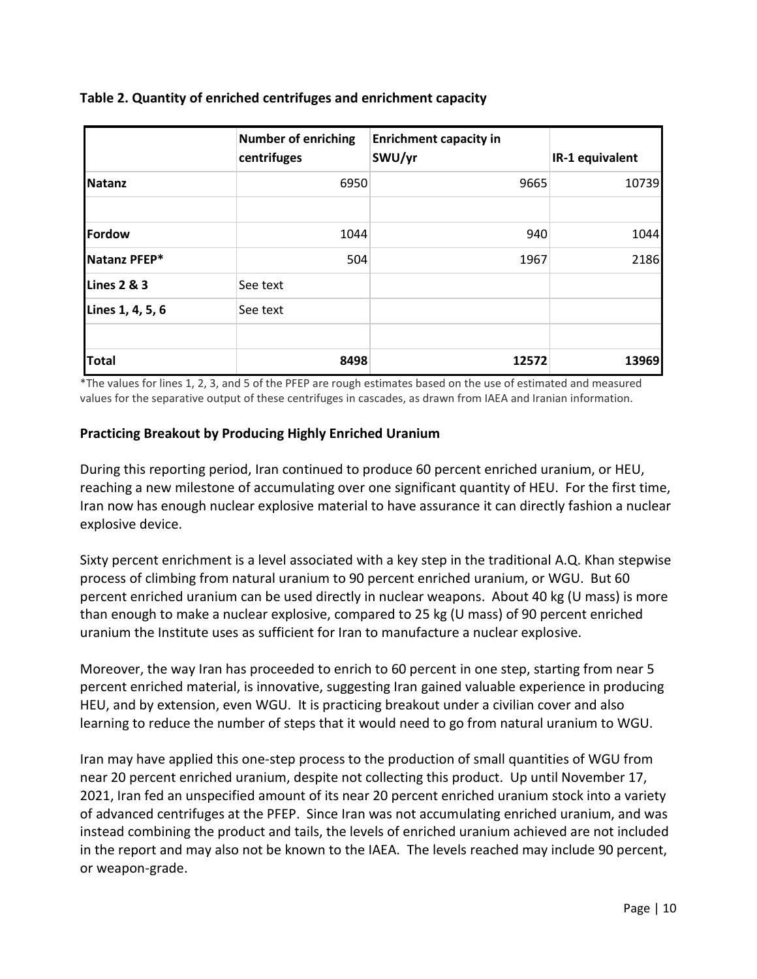|                        | <b>Number of enriching</b><br>centrifuges | <b>Enrichment capacity in</b><br>SWU/yr | IR-1 equivalent |
|------------------------|-------------------------------------------|-----------------------------------------|-----------------|
| <b>Natanz</b>          | 6950                                      | 9665                                    | 10739           |
| Fordow                 | 1044                                      | 940                                     | 1044            |
| Natanz PFEP*           | 504                                       | 1967                                    | 2186            |
| <b>Lines 2 &amp; 3</b> | See text                                  |                                         |                 |
| Lines 1, 4, 5, 6       | See text                                  |                                         |                 |
| <b>Total</b>           | 8498                                      | 12572                                   | 13969           |

#### **Table 2. Quantity of enriched centrifuges and enrichment capacity**

\*The values for lines 1, 2, 3, and 5 of the PFEP are rough estimates based on the use of estimated and measured values for the separative output of these centrifuges in cascades, as drawn from IAEA and Iranian information.

#### **Practicing Breakout by Producing Highly Enriched Uranium**

During this reporting period, Iran continued to produce 60 percent enriched uranium, or HEU, reaching a new milestone of accumulating over one significant quantity of HEU. For the first time, Iran now has enough nuclear explosive material to have assurance it can directly fashion a nuclear explosive device.

Sixty percent enrichment is a level associated with a key step in the traditional A.Q. Khan stepwise process of climbing from natural uranium to 90 percent enriched uranium, or WGU. But 60 percent enriched uranium can be used directly in nuclear weapons. About 40 kg (U mass) is more than enough to make a nuclear explosive, compared to 25 kg (U mass) of 90 percent enriched uranium the Institute uses as sufficient for Iran to manufacture a nuclear explosive.

Moreover, the way Iran has proceeded to enrich to 60 percent in one step, starting from near 5 percent enriched material, is innovative, suggesting Iran gained valuable experience in producing HEU, and by extension, even WGU. It is practicing breakout under a civilian cover and also learning to reduce the number of steps that it would need to go from natural uranium to WGU.

Iran may have applied this one-step process to the production of small quantities of WGU from near 20 percent enriched uranium, despite not collecting this product. Up until November 17, 2021, Iran fed an unspecified amount of its near 20 percent enriched uranium stock into a variety of advanced centrifuges at the PFEP. Since Iran was not accumulating enriched uranium, and was instead combining the product and tails, the levels of enriched uranium achieved are not included in the report and may also not be known to the IAEA. The levels reached may include 90 percent, or weapon-grade.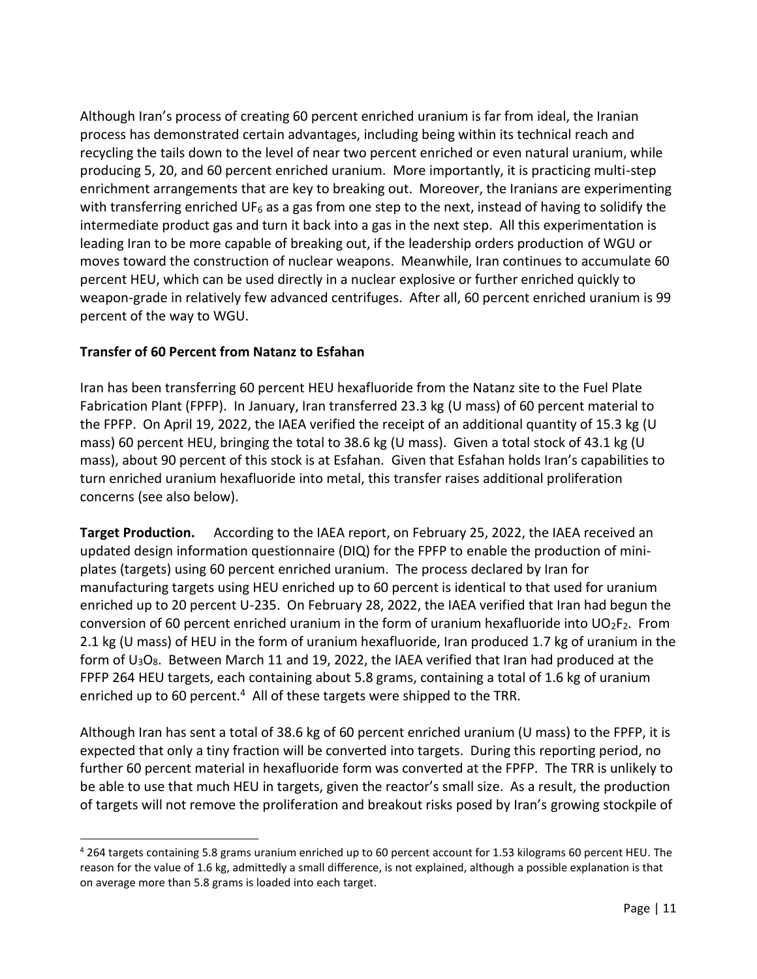Although Iran's process of creating 60 percent enriched uranium is far from ideal, the Iranian process has demonstrated certain advantages, including being within its technical reach and recycling the tails down to the level of near two percent enriched or even natural uranium, while producing 5, 20, and 60 percent enriched uranium. More importantly, it is practicing multi-step enrichment arrangements that are key to breaking out. Moreover, the Iranians are experimenting with transferring enriched UF $_6$  as a gas from one step to the next, instead of having to solidify the intermediate product gas and turn it back into a gas in the next step. All this experimentation is leading Iran to be more capable of breaking out, if the leadership orders production of WGU or moves toward the construction of nuclear weapons. Meanwhile, Iran continues to accumulate 60 percent HEU, which can be used directly in a nuclear explosive or further enriched quickly to weapon-grade in relatively few advanced centrifuges. After all, 60 percent enriched uranium is 99 percent of the way to WGU.

#### **Transfer of 60 Percent from Natanz to Esfahan**

Iran has been transferring 60 percent HEU hexafluoride from the Natanz site to the Fuel Plate Fabrication Plant (FPFP). In January, Iran transferred 23.3 kg (U mass) of 60 percent material to the FPFP. On April 19, 2022, the IAEA verified the receipt of an additional quantity of 15.3 kg (U mass) 60 percent HEU, bringing the total to 38.6 kg (U mass). Given a total stock of 43.1 kg (U mass), about 90 percent of this stock is at Esfahan. Given that Esfahan holds Iran's capabilities to turn enriched uranium hexafluoride into metal, this transfer raises additional proliferation concerns (see also below).

**Target Production.** According to the IAEA report, on February 25, 2022, the IAEA received an updated design information questionnaire (DIQ) for the FPFP to enable the production of miniplates (targets) using 60 percent enriched uranium. The process declared by Iran for manufacturing targets using HEU enriched up to 60 percent is identical to that used for uranium enriched up to 20 percent U-235. On February 28, 2022, the IAEA verified that Iran had begun the conversion of 60 percent enriched uranium in the form of uranium hexafluoride into  $UO_2F_2$ . From 2.1 kg (U mass) of HEU in the form of uranium hexafluoride, Iran produced 1.7 kg of uranium in the form of  $U_3O_8$ . Between March 11 and 19, 2022, the IAEA verified that Iran had produced at the FPFP 264 HEU targets, each containing about 5.8 grams, containing a total of 1.6 kg of uranium enriched up to 60 percent.<sup>4</sup> All of these targets were shipped to the TRR.

Although Iran has sent a total of 38.6 kg of 60 percent enriched uranium (U mass) to the FPFP, it is expected that only a tiny fraction will be converted into targets. During this reporting period, no further 60 percent material in hexafluoride form was converted at the FPFP. The TRR is unlikely to be able to use that much HEU in targets, given the reactor's small size. As a result, the production of targets will not remove the proliferation and breakout risks posed by Iran's growing stockpile of

<sup>4</sup> 264 targets containing 5.8 grams uranium enriched up to 60 percent account for 1.53 kilograms 60 percent HEU. The reason for the value of 1.6 kg, admittedly a small difference, is not explained, although a possible explanation is that on average more than 5.8 grams is loaded into each target.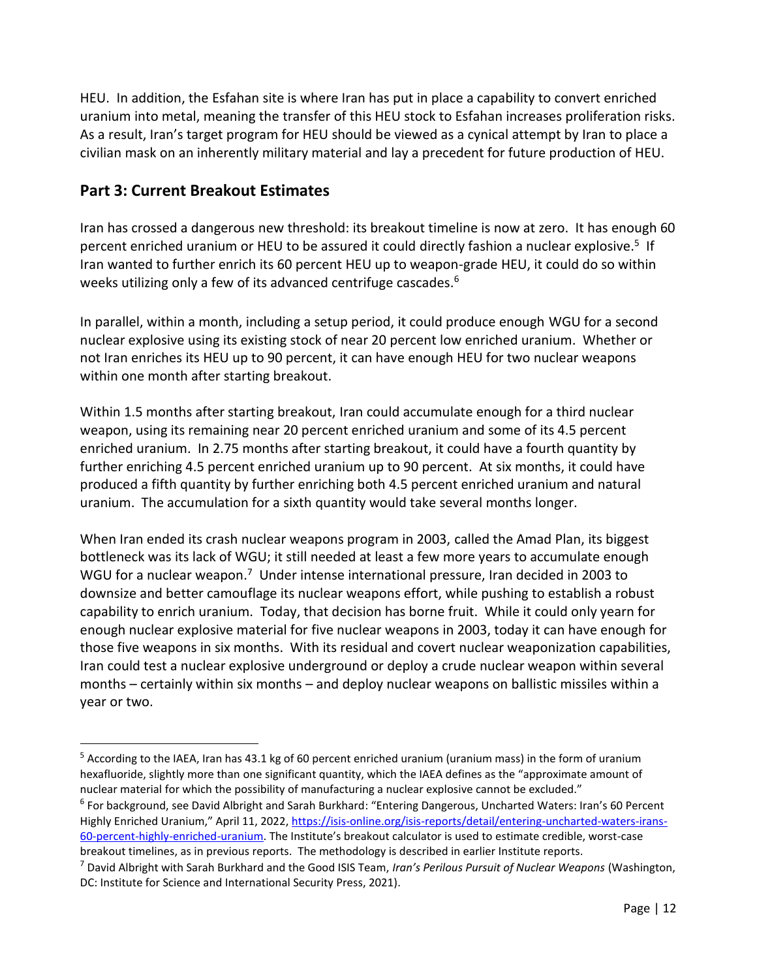HEU. In addition, the Esfahan site is where Iran has put in place a capability to convert enriched uranium into metal, meaning the transfer of this HEU stock to Esfahan increases proliferation risks. As a result, Iran's target program for HEU should be viewed as a cynical attempt by Iran to place a civilian mask on an inherently military material and lay a precedent for future production of HEU.

## **Part 3: Current Breakout Estimates**

Iran has crossed a dangerous new threshold: its breakout timeline is now at zero. It has enough 60 percent enriched uranium or HEU to be assured it could directly fashion a nuclear explosive.<sup>5</sup> If Iran wanted to further enrich its 60 percent HEU up to weapon-grade HEU, it could do so within weeks utilizing only a few of its advanced centrifuge cascades.<sup>6</sup>

In parallel, within a month, including a setup period, it could produce enough WGU for a second nuclear explosive using its existing stock of near 20 percent low enriched uranium. Whether or not Iran enriches its HEU up to 90 percent, it can have enough HEU for two nuclear weapons within one month after starting breakout.

Within 1.5 months after starting breakout, Iran could accumulate enough for a third nuclear weapon, using its remaining near 20 percent enriched uranium and some of its 4.5 percent enriched uranium. In 2.75 months after starting breakout, it could have a fourth quantity by further enriching 4.5 percent enriched uranium up to 90 percent. At six months, it could have produced a fifth quantity by further enriching both 4.5 percent enriched uranium and natural uranium. The accumulation for a sixth quantity would take several months longer.

When Iran ended its crash nuclear weapons program in 2003, called the Amad Plan, its biggest bottleneck was its lack of WGU; it still needed at least a few more years to accumulate enough WGU for a nuclear weapon.<sup>7</sup> Under intense international pressure, Iran decided in 2003 to downsize and better camouflage its nuclear weapons effort, while pushing to establish a robust capability to enrich uranium. Today, that decision has borne fruit. While it could only yearn for enough nuclear explosive material for five nuclear weapons in 2003, today it can have enough for those five weapons in six months. With its residual and covert nuclear weaponization capabilities, Iran could test a nuclear explosive underground or deploy a crude nuclear weapon within several months – certainly within six months – and deploy nuclear weapons on ballistic missiles within a year or two.

 $5$  According to the IAEA, Iran has 43.1 kg of 60 percent enriched uranium (uranium mass) in the form of uranium hexafluoride, slightly more than one significant quantity, which the IAEA defines as the "approximate amount of nuclear material for which the possibility of manufacturing a nuclear explosive cannot be excluded."

<sup>6</sup> For background, see David Albright and Sarah Burkhard: "Entering Dangerous, Uncharted Waters: Iran's 60 Percent Highly Enriched Uranium," April 11, 2022[,](https://isis-online.org/isis-reports/detail/entering-uncharted-waters-irans-60-percent-highly-enriched-uranium) [https://isis-online.org/isis-reports/detail/entering-uncharted-waters-irans-](https://isis-online.org/isis-reports/detail/entering-uncharted-waters-irans-60-percent-highly-enriched-uranium)[60-percent-highly-enriched-uranium](https://isis-online.org/isis-reports/detail/entering-uncharted-waters-irans-60-percent-highly-enriched-uranium). The Institute's breakout calculator is used to estimate credible, worst-case breakout timelines, as in previous reports. The methodology is described in earlier Institute reports.

<sup>7</sup> David Albright with Sarah Burkhard and the Good ISIS Team, *Iran's Perilous Pursuit of Nuclear Weapons* (Washington, DC: Institute for Science and International Security Press, 2021).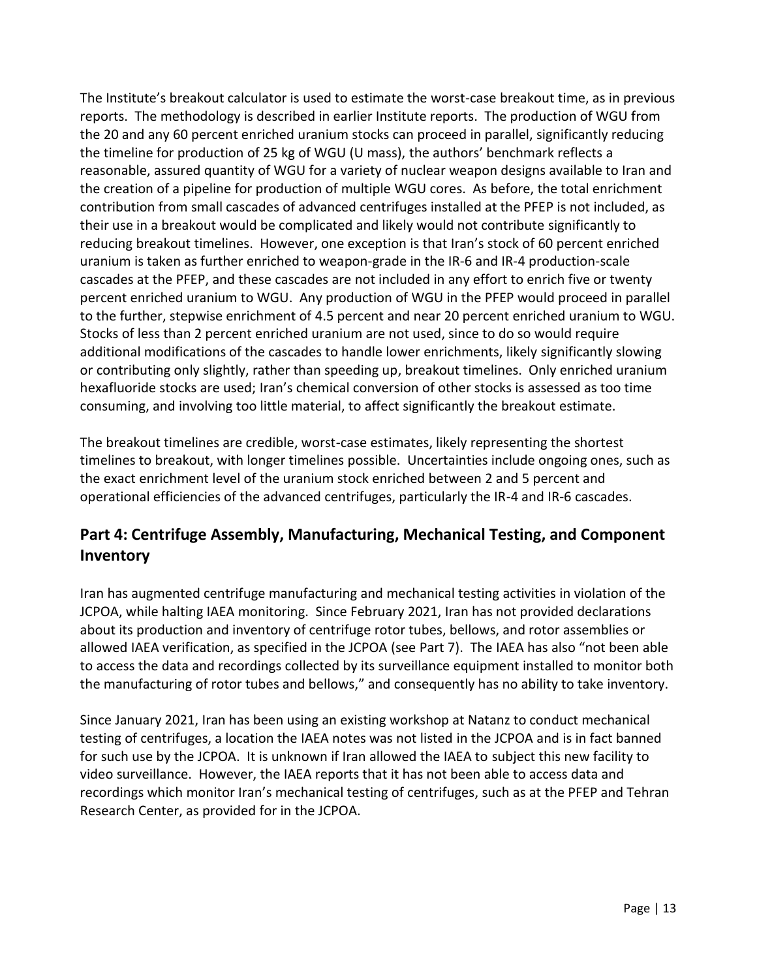The Institute's breakout calculator is used to estimate the worst-case breakout time, as in previous reports. The methodology is described in earlier Institute reports. The production of WGU from the 20 and any 60 percent enriched uranium stocks can proceed in parallel, significantly reducing the timeline for production of 25 kg of WGU (U mass), the authors' benchmark reflects a reasonable, assured quantity of WGU for a variety of nuclear weapon designs available to Iran and the creation of a pipeline for production of multiple WGU cores. As before, the total enrichment contribution from small cascades of advanced centrifuges installed at the PFEP is not included, as their use in a breakout would be complicated and likely would not contribute significantly to reducing breakout timelines. However, one exception is that Iran's stock of 60 percent enriched uranium is taken as further enriched to weapon-grade in the IR-6 and IR-4 production-scale cascades at the PFEP, and these cascades are not included in any effort to enrich five or twenty percent enriched uranium to WGU. Any production of WGU in the PFEP would proceed in parallel to the further, stepwise enrichment of 4.5 percent and near 20 percent enriched uranium to WGU. Stocks of less than 2 percent enriched uranium are not used, since to do so would require additional modifications of the cascades to handle lower enrichments, likely significantly slowing or contributing only slightly, rather than speeding up, breakout timelines. Only enriched uranium hexafluoride stocks are used; Iran's chemical conversion of other stocks is assessed as too time consuming, and involving too little material, to affect significantly the breakout estimate.

The breakout timelines are credible, worst-case estimates, likely representing the shortest timelines to breakout, with longer timelines possible. Uncertainties include ongoing ones, such as the exact enrichment level of the uranium stock enriched between 2 and 5 percent and operational efficiencies of the advanced centrifuges, particularly the IR-4 and IR-6 cascades.

## **Part 4: Centrifuge Assembly, Manufacturing, Mechanical Testing, and Component Inventory**

Iran has augmented centrifuge manufacturing and mechanical testing activities in violation of the JCPOA, while halting IAEA monitoring. Since February 2021, Iran has not provided declarations about its production and inventory of centrifuge rotor tubes, bellows, and rotor assemblies or allowed IAEA verification, as specified in the JCPOA (see Part 7). The IAEA has also "not been able to access the data and recordings collected by its surveillance equipment installed to monitor both the manufacturing of rotor tubes and bellows," and consequently has no ability to take inventory.

Since January 2021, Iran has been using an existing workshop at Natanz to conduct mechanical testing of centrifuges, a location the IAEA notes was not listed in the JCPOA and is in fact banned for such use by the JCPOA. It is unknown if Iran allowed the IAEA to subject this new facility to video surveillance. However, the IAEA reports that it has not been able to access data and recordings which monitor Iran's mechanical testing of centrifuges, such as at the PFEP and Tehran Research Center, as provided for in the JCPOA.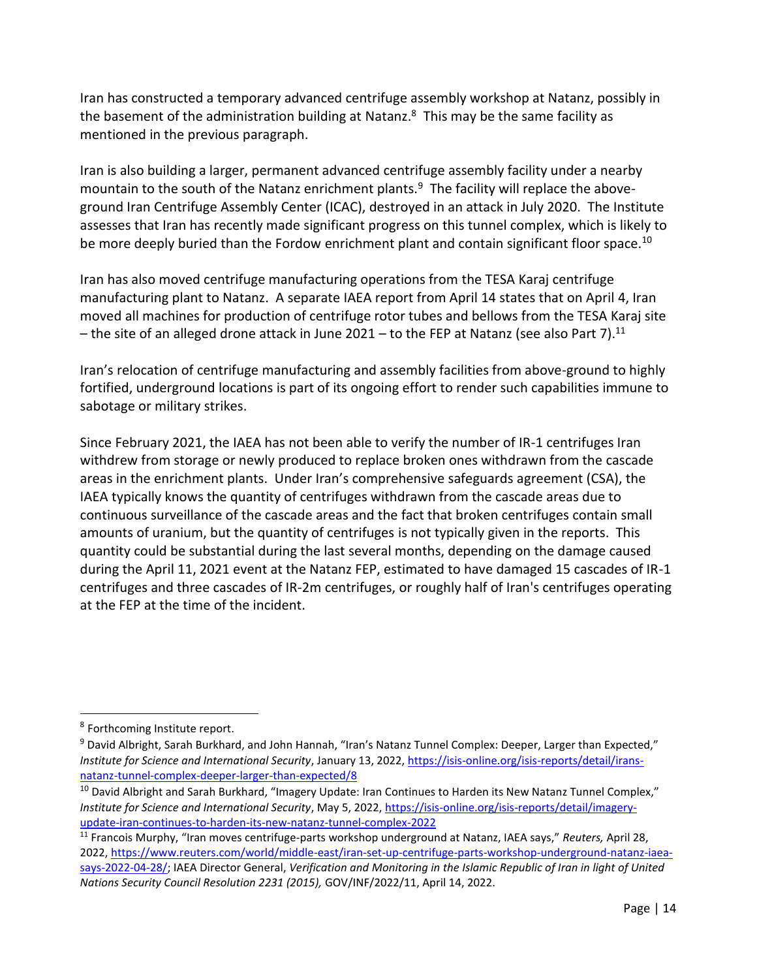Iran has constructed a temporary advanced centrifuge assembly workshop at Natanz, possibly in the basement of the administration building at Natanz. $8$  This may be the same facility as mentioned in the previous paragraph.

Iran is also building a larger, permanent advanced centrifuge assembly facility under a nearby mountain to the south of the Natanz enrichment plants.<sup>9</sup> The facility will replace the aboveground Iran Centrifuge Assembly Center (ICAC), destroyed in an attack in July 2020. The Institute assesses that Iran has recently made significant progress on this tunnel complex, which is likely to be more deeply buried than the Fordow enrichment plant and contain significant floor space.<sup>10</sup>

Iran has also moved centrifuge manufacturing operations from the TESA Karaj centrifuge manufacturing plant to Natanz. A separate IAEA report from April 14 states that on April 4, Iran moved all machines for production of centrifuge rotor tubes and bellows from the TESA Karaj site  $-$  the site of an alleged drone attack in June 2021  $-$  to the FEP at Natanz (see also Part 7).<sup>11</sup>

Iran's relocation of centrifuge manufacturing and assembly facilities from above-ground to highly fortified, underground locations is part of its ongoing effort to render such capabilities immune to sabotage or military strikes.

Since February 2021, the IAEA has not been able to verify the number of IR-1 centrifuges Iran withdrew from storage or newly produced to replace broken ones withdrawn from the cascade areas in the enrichment plants. Under Iran's comprehensive safeguards agreement (CSA), the IAEA typically knows the quantity of centrifuges withdrawn from the cascade areas due to continuous surveillance of the cascade areas and the fact that broken centrifuges contain small amounts of uranium, but the quantity of centrifuges is not typically given in the reports. This quantity could be substantial during the last several months, depending on the damage caused during the April 11, 2021 event at the Natanz FEP, estimated to have damaged 15 cascades of IR-1 centrifuges and three cascades of IR-2m centrifuges, or roughly half of Iran's centrifuges operating at the FEP at the time of the incident.

<sup>&</sup>lt;sup>8</sup> Forthcoming Institute report.

<sup>&</sup>lt;sup>9</sup> David Albright, Sarah Burkhard, and John Hannah, "Iran's Natanz Tunnel Complex: Deeper, Larger than Expected," *Institute for Science and International Security*, January 13, 2022, [https://isis-online.org/isis-reports/detail/irans](https://isis-online.org/isis-reports/detail/irans-natanz-tunnel-complex-deeper-larger-than-expected/8)[natanz-tunnel-complex-deeper-larger-than-expected/8](https://isis-online.org/isis-reports/detail/irans-natanz-tunnel-complex-deeper-larger-than-expected/8)

<sup>&</sup>lt;sup>10</sup> David Albright and Sarah Burkhard, "Imagery Update: Iran Continues to Harden its New Natanz Tunnel Complex," *Institute for Science and International Security*, May 5, 2022, [https://isis-online.org/isis-reports/detail/imagery](https://isis-online.org/isis-reports/detail/imagery-update-iran-continues-to-harden-its-new-natanz-tunnel-complex-2022)[update-iran-continues-to-harden-its-new-natanz-tunnel-complex-2022](https://isis-online.org/isis-reports/detail/imagery-update-iran-continues-to-harden-its-new-natanz-tunnel-complex-2022)

<sup>11</sup> Francois Murphy, "Iran moves centrifuge-parts workshop underground at Natanz, IAEA says," *Reuters,* April 28, 2022, [https://www.reuters.com/world/middle-east/iran-set-up-centrifuge-parts-workshop-underground-natanz-iaea](https://www.reuters.com/world/middle-east/iran-set-up-centrifuge-parts-workshop-underground-natanz-iaea-says-2022-04-28/)[says-2022-04-28/;](https://www.reuters.com/world/middle-east/iran-set-up-centrifuge-parts-workshop-underground-natanz-iaea-says-2022-04-28/) IAEA Director General, *Verification and Monitoring in the Islamic Republic of Iran in light of United Nations Security Council Resolution 2231 (2015),* GOV/INF/2022/11, April 14, 2022.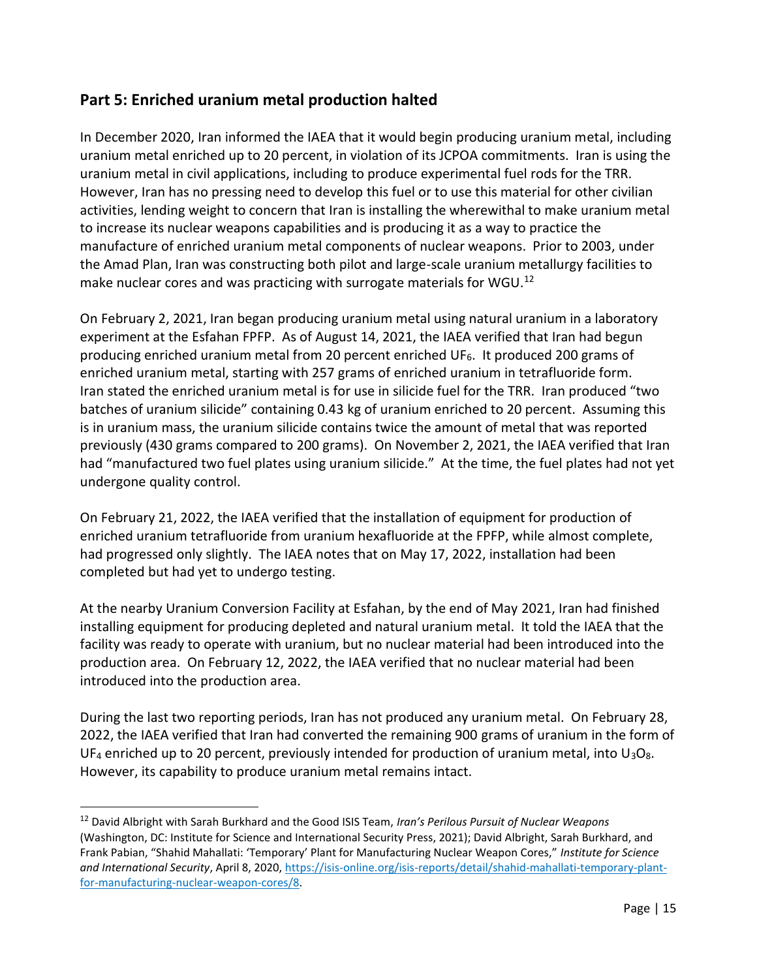## **Part 5: Enriched uranium metal production halted**

In December 2020, Iran informed the IAEA that it would begin producing uranium metal, including uranium metal enriched up to 20 percent, in violation of its JCPOA commitments. Iran is using the uranium metal in civil applications, including to produce experimental fuel rods for the TRR. However, Iran has no pressing need to develop this fuel or to use this material for other civilian activities, lending weight to concern that Iran is installing the wherewithal to make uranium metal to increase its nuclear weapons capabilities and is producing it as a way to practice the manufacture of enriched uranium metal components of nuclear weapons. Prior to 2003, under the Amad Plan, Iran was constructing both pilot and large-scale uranium metallurgy facilities to make nuclear cores and was practicing with surrogate materials for WGU.<sup>12</sup>

On February 2, 2021, Iran began producing uranium metal using natural uranium in a laboratory experiment at the Esfahan FPFP. As of August 14, 2021, the IAEA verified that Iran had begun producing enriched uranium metal from 20 percent enriched UF6. It produced 200 grams of enriched uranium metal, starting with 257 grams of enriched uranium in tetrafluoride form. Iran stated the enriched uranium metal is for use in silicide fuel for the TRR. Iran produced "two batches of uranium silicide" containing 0.43 kg of uranium enriched to 20 percent. Assuming this is in uranium mass, the uranium silicide contains twice the amount of metal that was reported previously (430 grams compared to 200 grams). On November 2, 2021, the IAEA verified that Iran had "manufactured two fuel plates using uranium silicide." At the time, the fuel plates had not yet undergone quality control.

On February 21, 2022, the IAEA verified that the installation of equipment for production of enriched uranium tetrafluoride from uranium hexafluoride at the FPFP, while almost complete, had progressed only slightly. The IAEA notes that on May 17, 2022, installation had been completed but had yet to undergo testing.

At the nearby Uranium Conversion Facility at Esfahan, by the end of May 2021, Iran had finished installing equipment for producing depleted and natural uranium metal. It told the IAEA that the facility was ready to operate with uranium, but no nuclear material had been introduced into the production area. On February 12, 2022, the IAEA verified that no nuclear material had been introduced into the production area.

During the last two reporting periods, Iran has not produced any uranium metal. On February 28, 2022, the IAEA verified that Iran had converted the remaining 900 grams of uranium in the form of UF<sub>4</sub> enriched up to 20 percent, previously intended for production of uranium metal, into U<sub>3</sub>O<sub>8</sub>. However, its capability to produce uranium metal remains intact.

<sup>12</sup> David Albright with Sarah Burkhard and the Good ISIS Team, *Iran's Perilous Pursuit of Nuclear Weapons* (Washington, DC: Institute for Science and International Security Press, 2021); David Albright, Sarah Burkhard, and Frank Pabian, "Shahid Mahallati: 'Temporary' Plant for Manufacturing Nuclear Weapon Cores," *Institute for Science and International Security*, April 8, 2020[, https://isis-online.org/isis-reports/detail/shahid-mahallati-temporary-plant](https://isis-online.org/isis-reports/detail/shahid-mahallati-temporary-plant-for-manufacturing-nuclear-weapon-cores/8)[for-manufacturing-nuclear-weapon-cores/8.](https://isis-online.org/isis-reports/detail/shahid-mahallati-temporary-plant-for-manufacturing-nuclear-weapon-cores/8)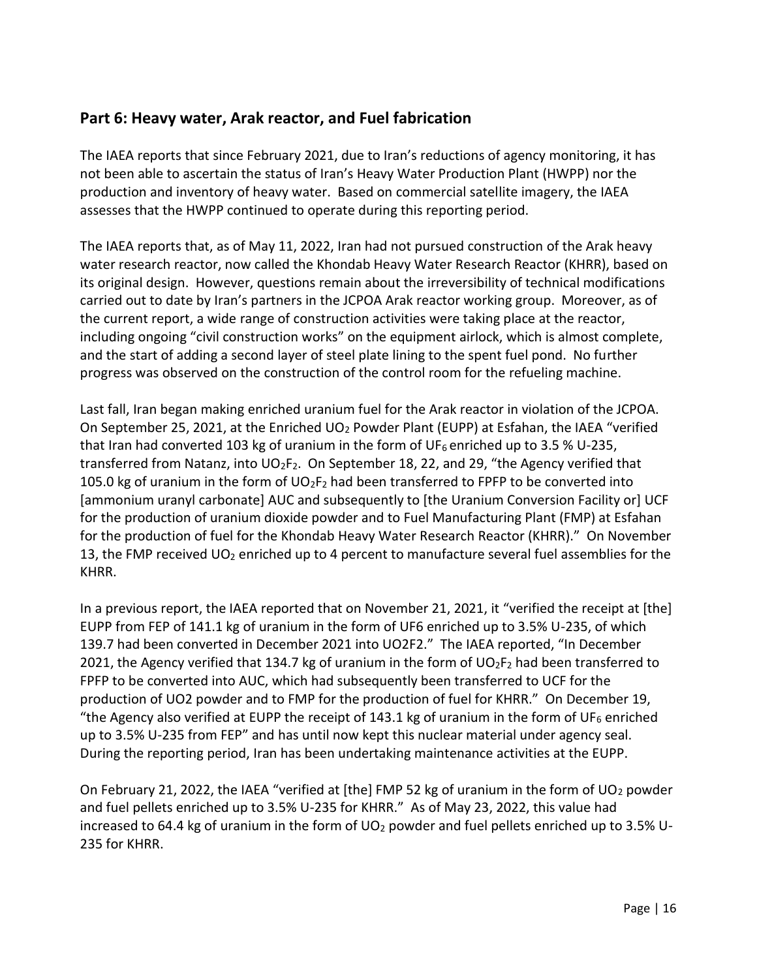## **Part 6: Heavy water, Arak reactor, and Fuel fabrication**

The IAEA reports that since February 2021, due to Iran's reductions of agency monitoring, it has not been able to ascertain the status of Iran's Heavy Water Production Plant (HWPP) nor the production and inventory of heavy water. Based on commercial satellite imagery, the IAEA assesses that the HWPP continued to operate during this reporting period.

The IAEA reports that, as of May 11, 2022, Iran had not pursued construction of the Arak heavy water research reactor, now called the Khondab Heavy Water Research Reactor (KHRR), based on its original design. However, questions remain about the irreversibility of technical modifications carried out to date by Iran's partners in the JCPOA Arak reactor working group. Moreover, as of the current report, a wide range of construction activities were taking place at the reactor, including ongoing "civil construction works" on the equipment airlock, which is almost complete, and the start of adding a second layer of steel plate lining to the spent fuel pond. No further progress was observed on the construction of the control room for the refueling machine.

Last fall, Iran began making enriched uranium fuel for the Arak reactor in violation of the JCPOA. On September 25, 2021, at the Enriched UO<sub>2</sub> Powder Plant (EUPP) at Esfahan, the IAEA "verified that Iran had converted 103 kg of uranium in the form of UF<sub>6</sub> enriched up to 3.5 % U-235, transferred from Natanz, into  $UO_2F_2$ . On September 18, 22, and 29, "the Agency verified that 105.0 kg of uranium in the form of  $UO_2F_2$  had been transferred to FPFP to be converted into [ammonium uranyl carbonate] AUC and subsequently to [the Uranium Conversion Facility or] UCF for the production of uranium dioxide powder and to Fuel Manufacturing Plant (FMP) at Esfahan for the production of fuel for the Khondab Heavy Water Research Reactor (KHRR)." On November 13, the FMP received  $UO<sub>2</sub>$  enriched up to 4 percent to manufacture several fuel assemblies for the KHRR.

In a previous report, the IAEA reported that on November 21, 2021, it "verified the receipt at [the] EUPP from FEP of 141.1 kg of uranium in the form of UF6 enriched up to 3.5% U-235, of which 139.7 had been converted in December 2021 into UO2F2." The IAEA reported, "In December 2021, the Agency verified that 134.7 kg of uranium in the form of  $UO_2F_2$  had been transferred to FPFP to be converted into AUC, which had subsequently been transferred to UCF for the production of UO2 powder and to FMP for the production of fuel for KHRR." On December 19, "the Agency also verified at EUPP the receipt of 143.1 kg of uranium in the form of UF<sub>6</sub> enriched up to 3.5% U-235 from FEP" and has until now kept this nuclear material under agency seal. During the reporting period, Iran has been undertaking maintenance activities at the EUPP.

On February 21, 2022, the IAEA "verified at [the] FMP 52 kg of uranium in the form of UO<sup>2</sup> powder and fuel pellets enriched up to 3.5% U-235 for KHRR." As of May 23, 2022, this value had increased to 64.4 kg of uranium in the form of  $UO<sub>2</sub>$  powder and fuel pellets enriched up to 3.5% U-235 for KHRR.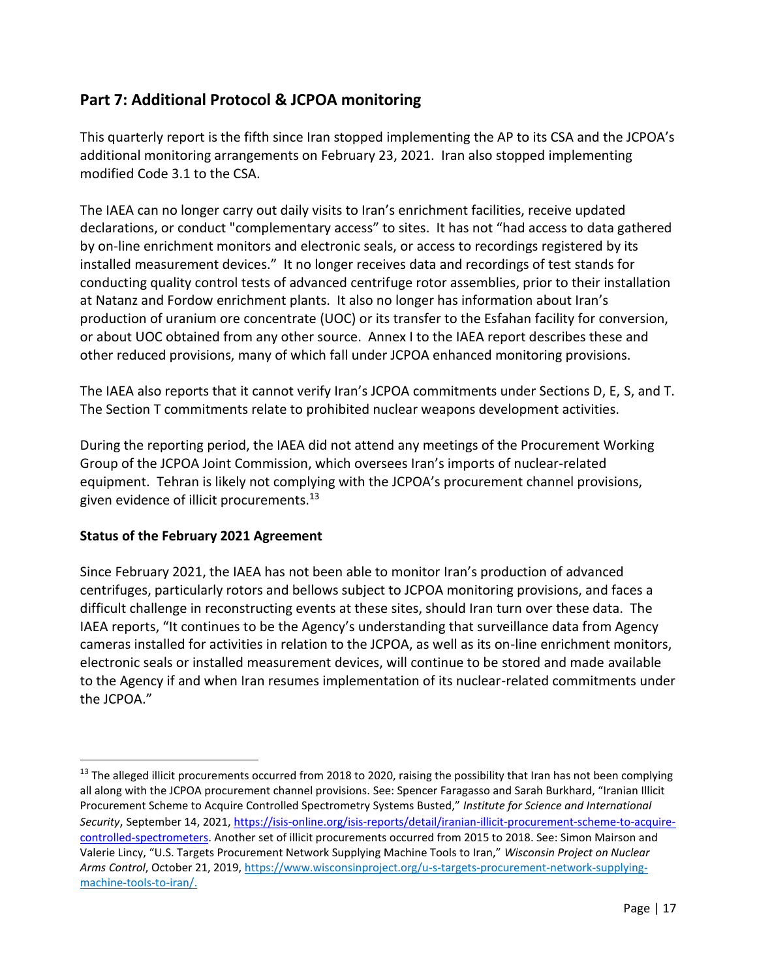## **Part 7: Additional Protocol & JCPOA monitoring**

This quarterly report is the fifth since Iran stopped implementing the AP to its CSA and the JCPOA's additional monitoring arrangements on February 23, 2021. Iran also stopped implementing modified Code 3.1 to the CSA.

The IAEA can no longer carry out daily visits to Iran's enrichment facilities, receive updated declarations, or conduct "complementary access" to sites. It has not "had access to data gathered by on-line enrichment monitors and electronic seals, or access to recordings registered by its installed measurement devices." It no longer receives data and recordings of test stands for conducting quality control tests of advanced centrifuge rotor assemblies, prior to their installation at Natanz and Fordow enrichment plants. It also no longer has information about Iran's production of uranium ore concentrate (UOC) or its transfer to the Esfahan facility for conversion, or about UOC obtained from any other source. Annex I to the IAEA report describes these and other reduced provisions, many of which fall under JCPOA enhanced monitoring provisions.

The IAEA also reports that it cannot verify Iran's JCPOA commitments under Sections D, E, S, and T. The Section T commitments relate to prohibited nuclear weapons development activities.

During the reporting period, the IAEA did not attend any meetings of the Procurement Working Group of the JCPOA Joint Commission, which oversees Iran's imports of nuclear-related equipment. Tehran is likely not complying with the JCPOA's procurement channel provisions, given evidence of illicit procurements.<sup>13</sup>

#### **Status of the February 2021 Agreement**

Since February 2021, the IAEA has not been able to monitor Iran's production of advanced centrifuges, particularly rotors and bellows subject to JCPOA monitoring provisions, and faces a difficult challenge in reconstructing events at these sites, should Iran turn over these data. The IAEA reports, "It continues to be the Agency's understanding that surveillance data from Agency cameras installed for activities in relation to the JCPOA, as well as its on-line enrichment monitors, electronic seals or installed measurement devices, will continue to be stored and made available to the Agency if and when Iran resumes implementation of its nuclear-related commitments under the JCPOA."

<sup>&</sup>lt;sup>13</sup> The alleged illicit procurements occurred from 2018 to 2020, raising the possibility that Iran has not been complying all along with the JCPOA procurement channel provisions. See: Spencer Faragasso and Sarah Burkhard, "Iranian Illicit Procurement Scheme to Acquire Controlled Spectrometry Systems Busted," *Institute for Science and International Security*, September 14, 2021, [https://isis-online.org/isis-reports/detail/iranian-illicit-procurement-scheme-to-acquire](https://isis-online.org/isis-reports/detail/iranian-illicit-procurement-scheme-to-acquire-controlled-spectrometers)[controlled-spectrometers.](https://isis-online.org/isis-reports/detail/iranian-illicit-procurement-scheme-to-acquire-controlled-spectrometers) Another set of illicit procurements occurred from 2015 to 2018. See: Simon Mairson and Valerie Lincy, "U.S. Targets Procurement Network Supplying Machine Tools to Iran," *Wisconsin Project on Nuclear Arms Control*, October 21, 2019, [https://www.wisconsinproject.org/u-s-targets-procurement-network-supplying](https://www.wisconsinproject.org/u-s-targets-procurement-network-supplying-machine-tools-to-iran/)[machine-tools-to-iran/.](https://www.wisconsinproject.org/u-s-targets-procurement-network-supplying-machine-tools-to-iran/)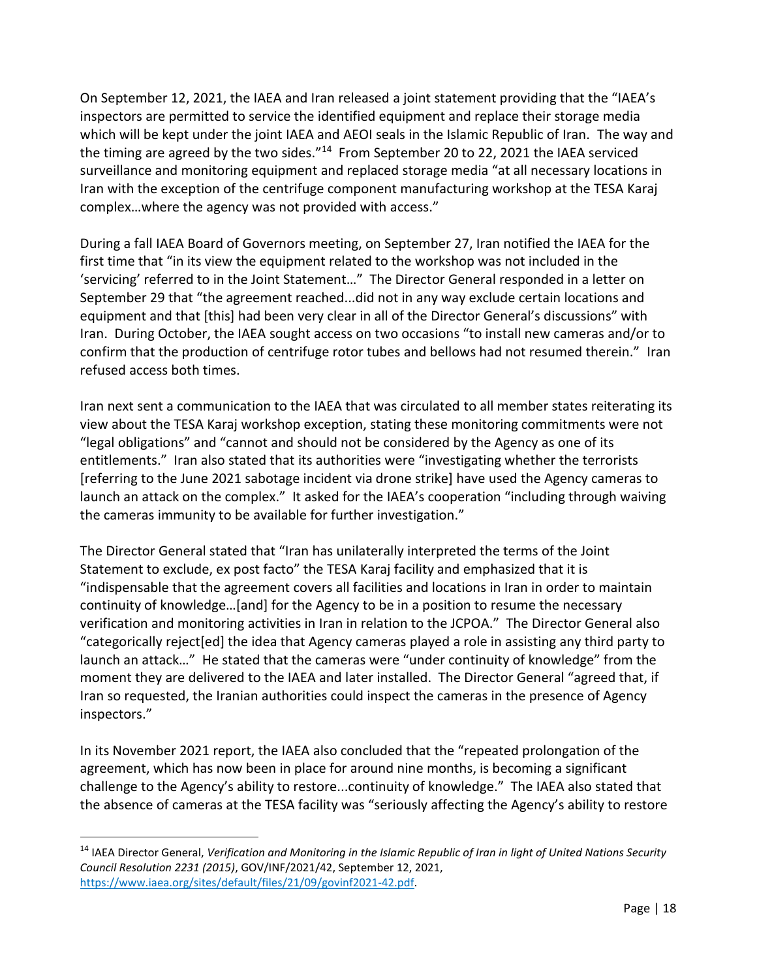On September 12, 2021, the IAEA and Iran released a joint statement providing that the "IAEA's inspectors are permitted to service the identified equipment and replace their storage media which will be kept under the joint IAEA and AEOI seals in the Islamic Republic of Iran. The way and the timing are agreed by the two sides."<sup>14</sup> From September 20 to 22, 2021 the IAEA serviced surveillance and monitoring equipment and replaced storage media "at all necessary locations in Iran with the exception of the centrifuge component manufacturing workshop at the TESA Karaj complex…where the agency was not provided with access."

During a fall IAEA Board of Governors meeting, on September 27, Iran notified the IAEA for the first time that "in its view the equipment related to the workshop was not included in the 'servicing' referred to in the Joint Statement…" The Director General responded in a letter on September 29 that "the agreement reached...did not in any way exclude certain locations and equipment and that [this] had been very clear in all of the Director General's discussions" with Iran. During October, the IAEA sought access on two occasions "to install new cameras and/or to confirm that the production of centrifuge rotor tubes and bellows had not resumed therein." Iran refused access both times.

Iran next sent a communication to the IAEA that was circulated to all member states reiterating its view about the TESA Karaj workshop exception, stating these monitoring commitments were not "legal obligations" and "cannot and should not be considered by the Agency as one of its entitlements." Iran also stated that its authorities were "investigating whether the terrorists [referring to the June 2021 sabotage incident via drone strike] have used the Agency cameras to launch an attack on the complex." It asked for the IAEA's cooperation "including through waiving the cameras immunity to be available for further investigation."

The Director General stated that "Iran has unilaterally interpreted the terms of the Joint Statement to exclude, ex post facto" the TESA Karaj facility and emphasized that it is "indispensable that the agreement covers all facilities and locations in Iran in order to maintain continuity of knowledge…[and] for the Agency to be in a position to resume the necessary verification and monitoring activities in Iran in relation to the JCPOA." The Director General also "categorically reject[ed] the idea that Agency cameras played a role in assisting any third party to launch an attack…" He stated that the cameras were "under continuity of knowledge" from the moment they are delivered to the IAEA and later installed. The Director General "agreed that, if Iran so requested, the Iranian authorities could inspect the cameras in the presence of Agency inspectors."

In its November 2021 report, the IAEA also concluded that the "repeated prolongation of the agreement, which has now been in place for around nine months, is becoming a significant challenge to the Agency's ability to restore...continuity of knowledge." The IAEA also stated that the absence of cameras at the TESA facility was "seriously affecting the Agency's ability to restore

<sup>14</sup> IAEA Director General, *Verification and Monitoring in the Islamic Republic of Iran in light of United Nations Security Council Resolution 2231 (2015)*, GOV/INF/2021/42, September 12, 2021, [https://www.iaea.org/sites/default/files/21/09/govinf2021-42.pdf.](https://www.iaea.org/sites/default/files/21/09/govinf2021-42.pdf)